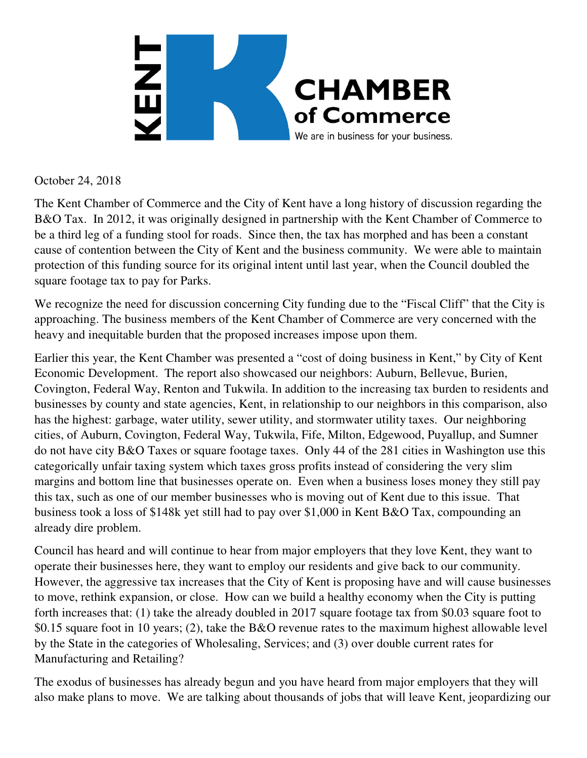

October 24, 2018

The Kent Chamber of Commerce and the City of Kent have a long history of discussion regarding the B&O Tax. In 2012, it was originally designed in partnership with the Kent Chamber of Commerce to be a third leg of a funding stool for roads. Since then, the tax has morphed and has been a constant cause of contention between the City of Kent and the business community. We were able to maintain protection of this funding source for its original intent until last year, when the Council doubled the square footage tax to pay for Parks.

We recognize the need for discussion concerning City funding due to the "Fiscal Cliff" that the City is approaching. The business members of the Kent Chamber of Commerce are very concerned with the heavy and inequitable burden that the proposed increases impose upon them.

Earlier this year, the Kent Chamber was presented a "cost of doing business in Kent," by City of Kent Economic Development. The report also showcased our neighbors: Auburn, Bellevue, Burien, Covington, Federal Way, Renton and Tukwila. In addition to the increasing tax burden to residents and businesses by county and state agencies, Kent, in relationship to our neighbors in this comparison, also has the highest: garbage, water utility, sewer utility, and stormwater utility taxes. Our neighboring cities, of Auburn, Covington, Federal Way, Tukwila, Fife, Milton, Edgewood, Puyallup, and Sumner do not have city B&O Taxes or square footage taxes. Only 44 of the 281 cities in Washington use this categorically unfair taxing system which taxes gross profits instead of considering the very slim margins and bottom line that businesses operate on. Even when a business loses money they still pay this tax, such as one of our member businesses who is moving out of Kent due to this issue. That business took a loss of \$148k yet still had to pay over \$1,000 in Kent B&O Tax, compounding an already dire problem.

Council has heard and will continue to hear from major employers that they love Kent, they want to operate their businesses here, they want to employ our residents and give back to our community. However, the aggressive tax increases that the City of Kent is proposing have and will cause businesses to move, rethink expansion, or close. How can we build a healthy economy when the City is putting forth increases that: (1) take the already doubled in 2017 square footage tax from \$0.03 square foot to \$0.15 square foot in 10 years; (2), take the B&O revenue rates to the maximum highest allowable level by the State in the categories of Wholesaling, Services; and (3) over double current rates for Manufacturing and Retailing?

The exodus of businesses has already begun and you have heard from major employers that they will also make plans to move. We are talking about thousands of jobs that will leave Kent, jeopardizing our